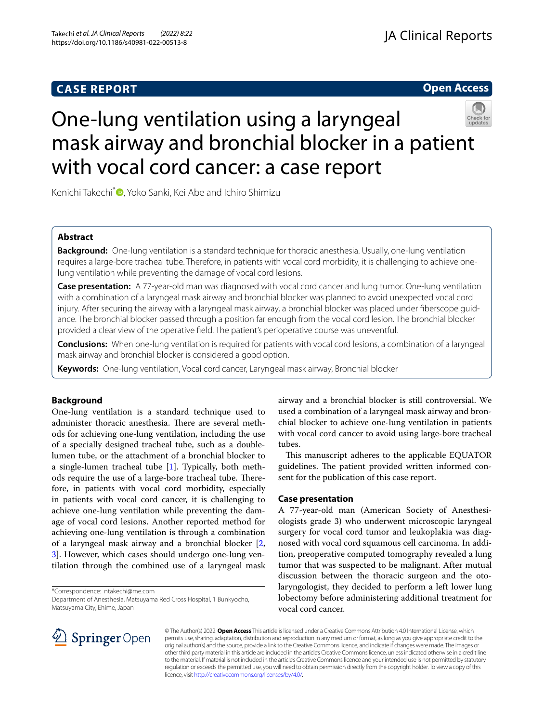# **CASE REPORT**

# **Open Access**



# One-lung ventilation using a laryngeal mask airway and bronchial blocker in a patient with vocal cord cancer: a case report

Kenichi Takechi<sup>\*</sup><sup>O</sup>[,](http://orcid.org/0000-0002-2862-3635) Yoko Sanki, Kei Abe and Ichiro Shimizu

# **Abstract**

**Background:** One-lung ventilation is a standard technique for thoracic anesthesia. Usually, one-lung ventilation requires a large-bore tracheal tube. Therefore, in patients with vocal cord morbidity, it is challenging to achieve onelung ventilation while preventing the damage of vocal cord lesions.

**Case presentation:** A 77-year-old man was diagnosed with vocal cord cancer and lung tumor. One-lung ventilation with a combination of a laryngeal mask airway and bronchial blocker was planned to avoid unexpected vocal cord injury. After securing the airway with a laryngeal mask airway, a bronchial blocker was placed under fberscope guidance. The bronchial blocker passed through a position far enough from the vocal cord lesion. The bronchial blocker provided a clear view of the operative feld. The patient's perioperative course was uneventful.

**Conclusions:** When one-lung ventilation is required for patients with vocal cord lesions, a combination of a laryngeal mask airway and bronchial blocker is considered a good option.

**Keywords:** One-lung ventilation, Vocal cord cancer, Laryngeal mask airway, Bronchial blocker

# **Background**

One-lung ventilation is a standard technique used to administer thoracic anesthesia. There are several methods for achieving one-lung ventilation, including the use of a specially designed tracheal tube, such as a doublelumen tube, or the attachment of a bronchial blocker to a single-lumen tracheal tube [\[1](#page-2-0)]. Typically, both methods require the use of a large-bore tracheal tube. Therefore, in patients with vocal cord morbidity, especially in patients with vocal cord cancer, it is challenging to achieve one-lung ventilation while preventing the damage of vocal cord lesions. Another reported method for achieving one-lung ventilation is through a combination of a laryngeal mask airway and a bronchial blocker [\[2](#page-2-1), [3\]](#page-2-2). However, which cases should undergo one-lung ventilation through the combined use of a laryngeal mask

\*Correspondence: ntakechi@me.com

Department of Anesthesia, Matsuyama Red Cross Hospital, 1 Bunkyocho, Matsuyama City, Ehime, Japan

airway and a bronchial blocker is still controversial. We used a combination of a laryngeal mask airway and bronchial blocker to achieve one-lung ventilation in patients with vocal cord cancer to avoid using large-bore tracheal tubes.

This manuscript adheres to the applicable EQUATOR guidelines. The patient provided written informed consent for the publication of this case report.

## **Case presentation**

A 77-year-old man (American Society of Anesthesiologists grade 3) who underwent microscopic laryngeal surgery for vocal cord tumor and leukoplakia was diagnosed with vocal cord squamous cell carcinoma. In addition, preoperative computed tomography revealed a lung tumor that was suspected to be malignant. After mutual discussion between the thoracic surgeon and the otolaryngologist, they decided to perform a left lower lung lobectomy before administering additional treatment for vocal cord cancer.



© The Author(s) 2022. **Open Access** This article is licensed under a Creative Commons Attribution 4.0 International License, which permits use, sharing, adaptation, distribution and reproduction in any medium or format, as long as you give appropriate credit to the original author(s) and the source, provide a link to the Creative Commons licence, and indicate if changes were made. The images or other third party material in this article are included in the article's Creative Commons licence, unless indicated otherwise in a credit line to the material. If material is not included in the article's Creative Commons licence and your intended use is not permitted by statutory regulation or exceeds the permitted use, you will need to obtain permission directly from the copyright holder. To view a copy of this licence, visit [http://creativecommons.org/licenses/by/4.0/.](http://creativecommons.org/licenses/by/4.0/)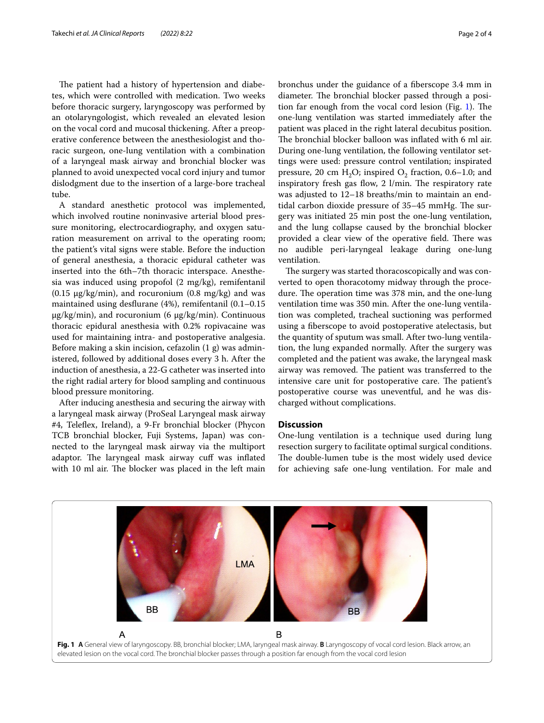The patient had a history of hypertension and diabetes, which were controlled with medication. Two weeks before thoracic surgery, laryngoscopy was performed by an otolaryngologist, which revealed an elevated lesion on the vocal cord and mucosal thickening. After a preoperative conference between the anesthesiologist and thoracic surgeon, one-lung ventilation with a combination of a laryngeal mask airway and bronchial blocker was planned to avoid unexpected vocal cord injury and tumor dislodgment due to the insertion of a large-bore tracheal tube.

A standard anesthetic protocol was implemented, which involved routine noninvasive arterial blood pressure monitoring, electrocardiography, and oxygen saturation measurement on arrival to the operating room; the patient's vital signs were stable. Before the induction of general anesthesia, a thoracic epidural catheter was inserted into the 6th–7th thoracic interspace. Anesthesia was induced using propofol (2 mg/kg), remifentanil  $(0.15 \mu g/kg/min)$ , and rocuronium  $(0.8 \mu g/kg)$  and was maintained using desfurane (4%), remifentanil (0.1–0.15 μg/kg/min), and rocuronium (6 μg/kg/min). Continuous thoracic epidural anesthesia with 0.2% ropivacaine was used for maintaining intra- and postoperative analgesia. Before making a skin incision, cefazolin (1 g) was administered, followed by additional doses every 3 h. After the induction of anesthesia, a 22-G catheter was inserted into the right radial artery for blood sampling and continuous blood pressure monitoring.

After inducing anesthesia and securing the airway with a laryngeal mask airway (ProSeal Laryngeal mask airway #4, Telefex, Ireland), a 9-Fr bronchial blocker (Phycon TCB bronchial blocker, Fuji Systems, Japan) was connected to the laryngeal mask airway via the multiport adaptor. The laryngeal mask airway cuff was inflated with 10 ml air. The blocker was placed in the left main

bronchus under the guidance of a fberscope 3.4 mm in diameter. The bronchial blocker passed through a position far enough from the vocal cord lesion (Fig.  $1$ ). The one-lung ventilation was started immediately after the patient was placed in the right lateral decubitus position. The bronchial blocker balloon was inflated with 6 ml air. During one-lung ventilation, the following ventilator settings were used: pressure control ventilation; inspirated pressure, 20 cm  $H_2O$ ; inspired  $O_2$  fraction, 0.6–1.0; and inspiratory fresh gas flow,  $2 \frac{1}{min}$ . The respiratory rate was adjusted to 12–18 breaths/min to maintain an endtidal carbon dioxide pressure of 35-45 mmHg. The surgery was initiated 25 min post the one-lung ventilation, and the lung collapse caused by the bronchial blocker provided a clear view of the operative field. There was no audible peri-laryngeal leakage during one-lung ventilation.

The surgery was started thoracoscopically and was converted to open thoracotomy midway through the procedure. The operation time was 378 min, and the one-lung ventilation time was 350 min. After the one-lung ventilation was completed, tracheal suctioning was performed using a fberscope to avoid postoperative atelectasis, but the quantity of sputum was small. After two-lung ventilation, the lung expanded normally. After the surgery was completed and the patient was awake, the laryngeal mask airway was removed. The patient was transferred to the intensive care unit for postoperative care. The patient's postoperative course was uneventful, and he was discharged without complications.

### **Discussion**

One-lung ventilation is a technique used during lung resection surgery to facilitate optimal surgical conditions. The double-lumen tube is the most widely used device for achieving safe one-lung ventilation. For male and

<span id="page-1-0"></span>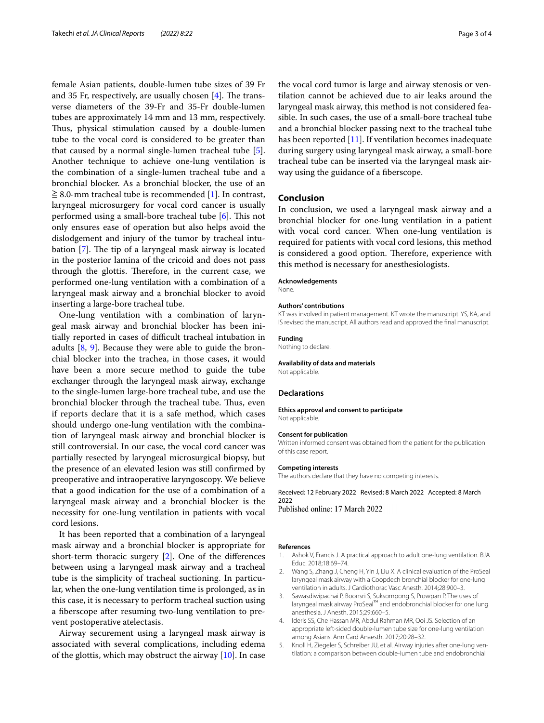female Asian patients, double-lumen tube sizes of 39 Fr and 35 Fr, respectively, are usually chosen  $[4]$  $[4]$ . The transverse diameters of the 39-Fr and 35-Fr double-lumen tubes are approximately 14 mm and 13 mm, respectively. Thus, physical stimulation caused by a double-lumen tube to the vocal cord is considered to be greater than that caused by a normal single-lumen tracheal tube [\[5](#page-2-4)]. Another technique to achieve one-lung ventilation is the combination of a single-lumen tracheal tube and a bronchial blocker. As a bronchial blocker, the use of an  $\geq$  8.0-mm tracheal tube is recommended [\[1](#page-2-0)]. In contrast, laryngeal microsurgery for vocal cord cancer is usually performed using a small-bore tracheal tube  $[6]$  $[6]$ . This not only ensures ease of operation but also helps avoid the dislodgement and injury of the tumor by tracheal intubation  $[7]$  $[7]$ . The tip of a laryngeal mask airway is located in the posterior lamina of the cricoid and does not pass through the glottis. Therefore, in the current case, we performed one-lung ventilation with a combination of a laryngeal mask airway and a bronchial blocker to avoid inserting a large-bore tracheal tube.

One-lung ventilation with a combination of laryngeal mask airway and bronchial blocker has been initially reported in cases of difficult tracheal intubation in adults [\[8](#page-3-2), [9\]](#page-3-3). Because they were able to guide the bronchial blocker into the trachea, in those cases, it would have been a more secure method to guide the tube exchanger through the laryngeal mask airway, exchange to the single-lumen large-bore tracheal tube, and use the bronchial blocker through the tracheal tube. Thus, even if reports declare that it is a safe method, which cases should undergo one-lung ventilation with the combination of laryngeal mask airway and bronchial blocker is still controversial. In our case, the vocal cord cancer was partially resected by laryngeal microsurgical biopsy, but the presence of an elevated lesion was still confrmed by preoperative and intraoperative laryngoscopy. We believe that a good indication for the use of a combination of a laryngeal mask airway and a bronchial blocker is the necessity for one-lung ventilation in patients with vocal cord lesions.

It has been reported that a combination of a laryngeal mask airway and a bronchial blocker is appropriate for short-term thoracic surgery [[2\]](#page-2-1). One of the diferences between using a laryngeal mask airway and a tracheal tube is the simplicity of tracheal suctioning. In particular, when the one-lung ventilation time is prolonged, as in this case, it is necessary to perform tracheal suction using a fberscope after resuming two-lung ventilation to prevent postoperative atelectasis.

Airway securement using a laryngeal mask airway is associated with several complications, including edema of the glottis, which may obstruct the airway  $[10]$  $[10]$ . In case

the vocal cord tumor is large and airway stenosis or ventilation cannot be achieved due to air leaks around the laryngeal mask airway, this method is not considered feasible. In such cases, the use of a small-bore tracheal tube and a bronchial blocker passing next to the tracheal tube has been reported [[11\]](#page-3-5). If ventilation becomes inadequate during surgery using laryngeal mask airway, a small-bore tracheal tube can be inserted via the laryngeal mask airway using the guidance of a fberscope.

# **Conclusion**

In conclusion, we used a laryngeal mask airway and a bronchial blocker for one-lung ventilation in a patient with vocal cord cancer. When one-lung ventilation is required for patients with vocal cord lesions, this method is considered a good option. Therefore, experience with this method is necessary for anesthesiologists.

#### **Acknowledgements**

None.

#### **Authors' contributions**

KT was involved in patient management. KT wrote the manuscript. YS, KA, and IS revised the manuscript. All authors read and approved the fnal manuscript.

#### **Funding**

Nothing to declare.

## **Availability of data and materials**

Not applicable.

#### **Declarations**

#### **Ethics approval and consent to participate** Not applicable.

#### **Consent for publication**

Written informed consent was obtained from the patient for the publication of this case report.

#### **Competing interests**

The authors declare that they have no competing interests.

Received: 12 February 2022 Revised: 8 March 2022 Accepted: 8 March 2022<br>Published online: 17 March 2022

#### **References**

- <span id="page-2-0"></span>1. Ashok V, Francis J. A practical approach to adult one-lung ventilation. BJA Educ. 2018;18:69–74.
- <span id="page-2-1"></span>2. Wang S, Zhang J, Cheng H, Yin J, Liu X. A clinical evaluation of the ProSeal laryngeal mask airway with a Coopdech bronchial blocker for one-lung ventilation in adults. J Cardiothorac Vasc Anesth. 2014;28:900–3.
- <span id="page-2-2"></span>3. Sawasdiwipachai P, Boonsri S, Suksompong S, Prowpan P. The uses of laryngeal mask airway ProSeal™ and endobronchial blocker for one lung anesthesia. J Anesth. 2015;29:660–5.
- <span id="page-2-3"></span>Ideris SS, Che Hassan MR, Abdul Rahman MR, Ooi JS. Selection of an appropriate left-sided double-lumen tube size for one-lung ventilation among Asians. Ann Card Anaesth. 2017;20:28–32.
- <span id="page-2-4"></span>5. Knoll H, Ziegeler S, Schreiber JU, et al. Airway injuries after one-lung ventilation: a comparison between double-lumen tube and endobronchial